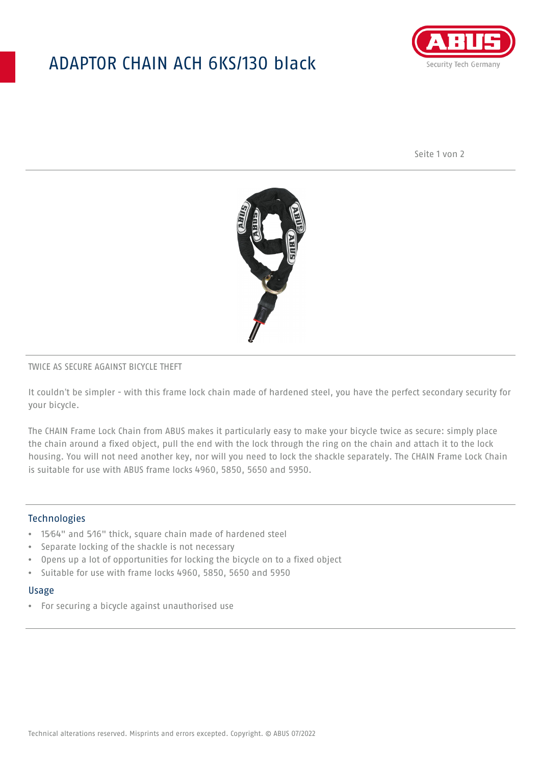## ADAPTOR CHAIN ACH 6KS/130 black



Seite 1 von 2



### TWICE AS SECURE AGAINST BICYCLE THEFT

It couldn't be simpler - with this frame lock chain made of hardened steel, you have the perfect secondary security for your bicycle.

The CHAIN Frame Lock Chain from ABUS makes it particularly easy to make your bicycle twice as secure: simply place the chain around a fixed object, pull the end with the lock through the ring on the chain and attach it to the lock housing. You will not need another key, nor will you need to lock the shackle separately. The CHAIN Frame Lock Chain is suitable for use with ABUS frame locks 4960, 5850, 5650 and 5950.

### Technologies

- 15⁄64" and 5⁄16" thick, square chain made of hardened steel
- Separate locking of the shackle is not necessary
- Opens up a lot of opportunities for locking the bicycle on to a fixed object
- Suitable for use with frame locks 4960, 5850, 5650 and 5950

#### Usage

• For securing a bicycle against unauthorised use